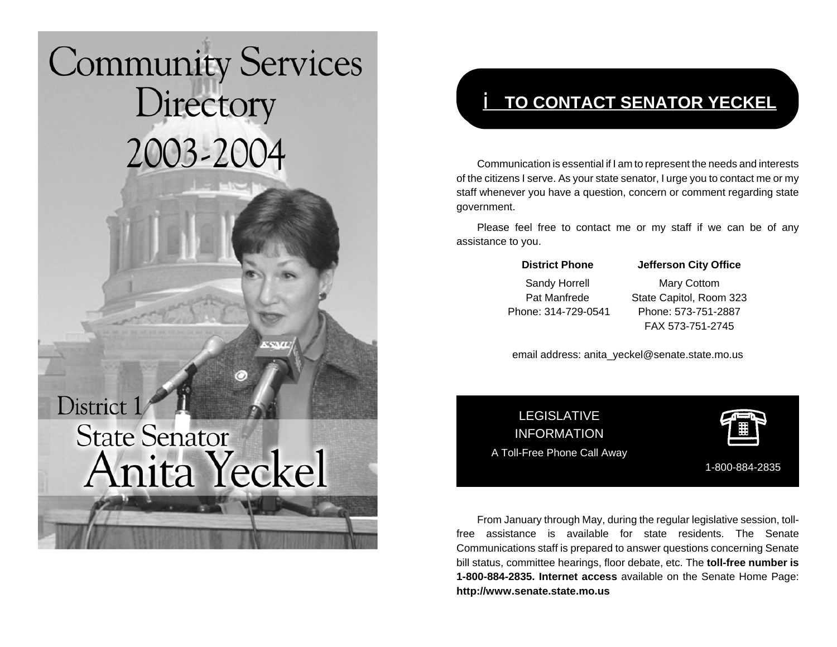# **Community Services** Directory 2003-2004 District 1 **State Senator** Anita Yeckel

# i **TO CONTACT SENATOR YECKEL**

Communication is essential if I am to represent the needs and interests of the citizens I serve. As your state senator, I urge you to contact me or my staff whenever you have a question, concern or comment regarding state government.

Please feel free to contact me or my staff if we can be of any assistance to you.

#### **District Phone Jefferson City Office**

Sandy Horrell Mary Cottom Pat Manfrede State Capitol, Room 323 Phone: 314-729-0541 Phone: 573-751-2887FAX 573-751-2745

email address: anita\_yeckel@senate.state.mo.us

LEGISLATIVEINFORMATIONA Toll-Free Phone Call Away



1-800-884-2835

From January through May, during the regular legislative session, tollfree assistance is available for state residents. The SenateCommunications staff is prepared to answer questions concerning Senate bill status, committee hearings, floor debate, etc. The **toll-free number is 1-800-884-2835. Internet access** available on the Senate Home Page: **http://www.senate.state.mo.us**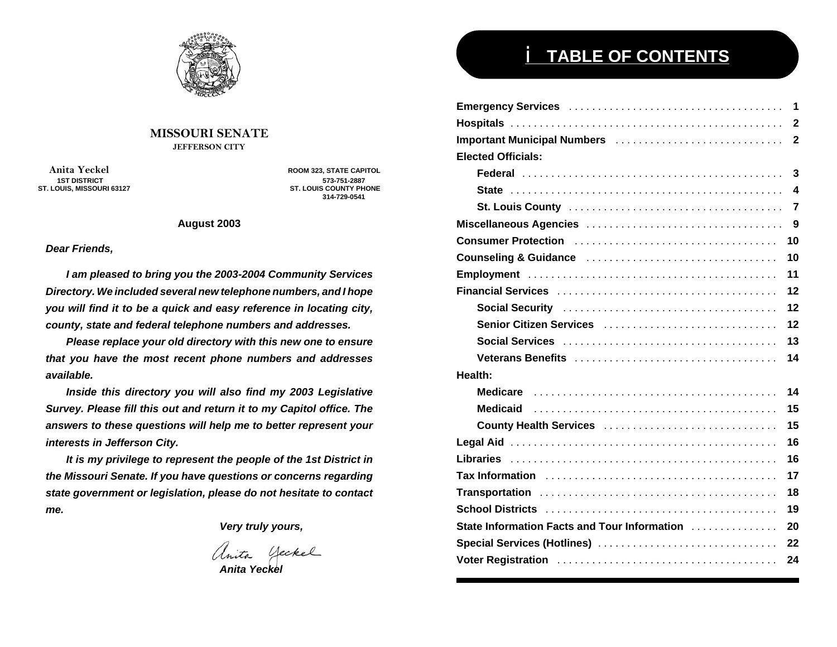

#### **MISSOURI SENATEJEFFERSON CITY**

 **Anita Yeckel 1ST DISTRICT**

 **ROOM 323, STATE CAPITOL 573-751-2887 ST. LOUIS, MISSOURI 63127 ST. LOUIS COUNTY PHONE 314-729-0541**

#### **August 2003**

#### *Dear Friends,*

*I am pleased to bring you the 2003-2004 Community Services Directory. We included several new telephone numbers, and I hope you will find it to be a quick and easy reference in locating city, county, state and federal telephone numbers and addresses.*

*Please replace your old directory with this new one to ensure that you have the most recent phone numbers and addresses available.*

*Inside this directory you will also find my 2003 Legislative Survey. Please fill this out and return it to my Capitol office. The answers to these questions will help me to better represent your interests in Jefferson City.*

*It is my privilege to represent the people of the 1st District in the Missouri Senate. If you have questions or concerns regarding state government or legislation, please do not hesitate to contact me.*

*Very truly yours,*

nita Geckel

*Anita Yeckel*

# i **TABLE OF CONTENTS**

| Important Municipal Numbers<br>$\overline{2}$      |
|----------------------------------------------------|
| <b>Elected Officials:</b>                          |
| 3                                                  |
| $\boldsymbol{4}$                                   |
| 7                                                  |
| 9                                                  |
| 10                                                 |
| 10                                                 |
| 11                                                 |
| 12                                                 |
| 12                                                 |
| 12<br>Senior Citizen Services                      |
| 13                                                 |
| 14                                                 |
| Health:                                            |
| 14                                                 |
| 15                                                 |
| 15<br>County Health Services                       |
| 16                                                 |
| 16                                                 |
| 17                                                 |
| 18                                                 |
| 19                                                 |
| State Information Facts and Tour Information<br>20 |
| Special Services (Hotlines)<br>22                  |
| 24                                                 |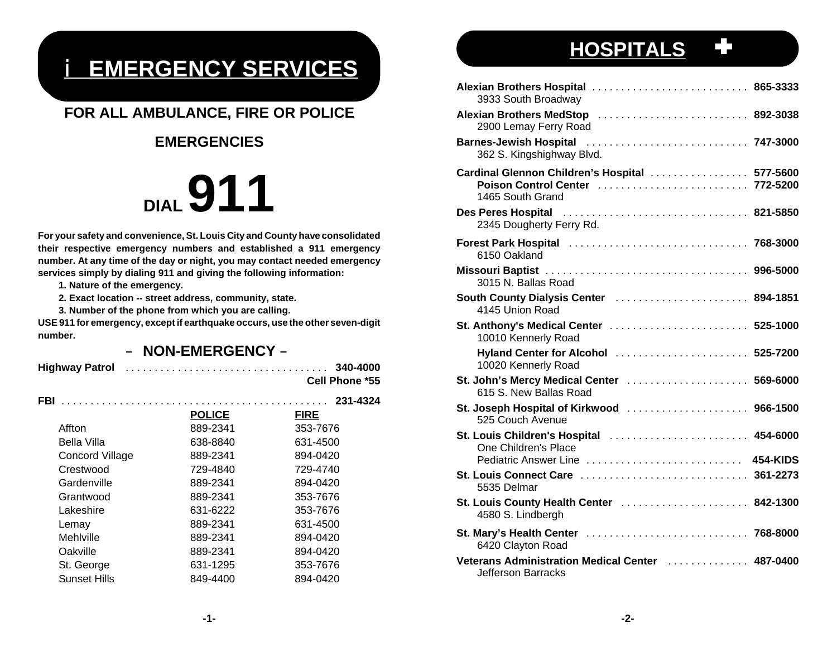# i **EMERGENCY SERVICES**

# **FOR ALL AMBULANCE, FIRE OR POLICE**

# **EMERGENCIES**

# **DIAL 911**

**For your safety and convenience, St. Louis City and County have consolidated their respective emergency numbers and established a 911 emergency number. At any time of the day or night, you may contact needed emergency services simply by dialing 911 and giving the following information:**

**1. Nature of the emergency.**

**2. Exact location -- street address, community, state.**

**3. Number of the phone from which you are calling.**

**USE 911 for emergency, except if earthquake occurs, use the other seven-digit number.**

## – **NON-EMERGENCY** –

| <b>Highway Patrol</b>  |               | 340-4000<br><b>Cell Phone *55</b> |
|------------------------|---------------|-----------------------------------|
| <b>FBI</b>             |               | 231-4324                          |
|                        | <b>POLICE</b> | <b>FIRE</b>                       |
| Affton                 | 889-2341      | 353-7676                          |
| Bella Villa            | 638-8840      | 631-4500                          |
| <b>Concord Village</b> | 889-2341      | 894-0420                          |
| Crestwood              | 729-4840      | 729-4740                          |
| Gardenville            | 889-2341      | 894-0420                          |
| Grantwood              | 889-2341      | 353-7676                          |
| Lakeshire              | 631-6222      | 353-7676                          |
| Lemay                  | 889-2341      | 631-4500                          |
| Mehlville              | 889-2341      | 894-0420                          |
| Oakville               | 889-2341      | 894-0420                          |
| St. George             | 631-1295      | 353-7676                          |
| <b>Sunset Hills</b>    | 849-4400      | 894-0420                          |
|                        |               |                                   |

# **HOSPITALS**

| Alexian Brothers Hospital  865-3333<br>3933 South Broadway                                            |                 |
|-------------------------------------------------------------------------------------------------------|-----------------|
| Alexian Brothers MedStop  892-3038<br>2900 Lemay Ferry Road                                           |                 |
| <b>Barnes-Jewish Hospital</b><br>362 S. Kingshighway Blvd.                                            |                 |
| Cardinal Glennon Children's Hospital  577-5600<br>Poison Control Center  772-5200<br>1465 South Grand |                 |
| <b>Des Peres Hospital</b><br>2345 Dougherty Ferry Rd.                                                 |                 |
| Forest Park Hospital  768-3000<br>6150 Oakland                                                        |                 |
| 3015 N. Ballas Road                                                                                   |                 |
| South County Dialysis Center  894-1851<br>4145 Union Road                                             |                 |
| St. Anthony's Medical Center  525-1000<br>10010 Kennerly Road                                         |                 |
| Hyland Center for Alcohol  525-7200<br>10020 Kennerly Road                                            |                 |
| St. John's Mercy Medical Center  569-6000<br>615 S. New Ballas Road                                   |                 |
| St. Joseph Hospital of Kirkwood  966-1500<br>525 Couch Avenue                                         |                 |
| St. Louis Children's Hospital  454-6000<br>One Children's Place<br>Pediatric Answer Line              | <b>454-KIDS</b> |
| St. Louis Connect Care<br>5535 Delmar                                                                 | 361-2273        |
| St. Louis County Health Center  842-1300<br>4580 S. Lindbergh                                         |                 |
| <b>St. Mary's Health Center</b><br>6420 Clayton Road                                                  |                 |
| Veterans Administration Medical Center [11] Neterans 287-0400<br>Jefferson Barracks                   |                 |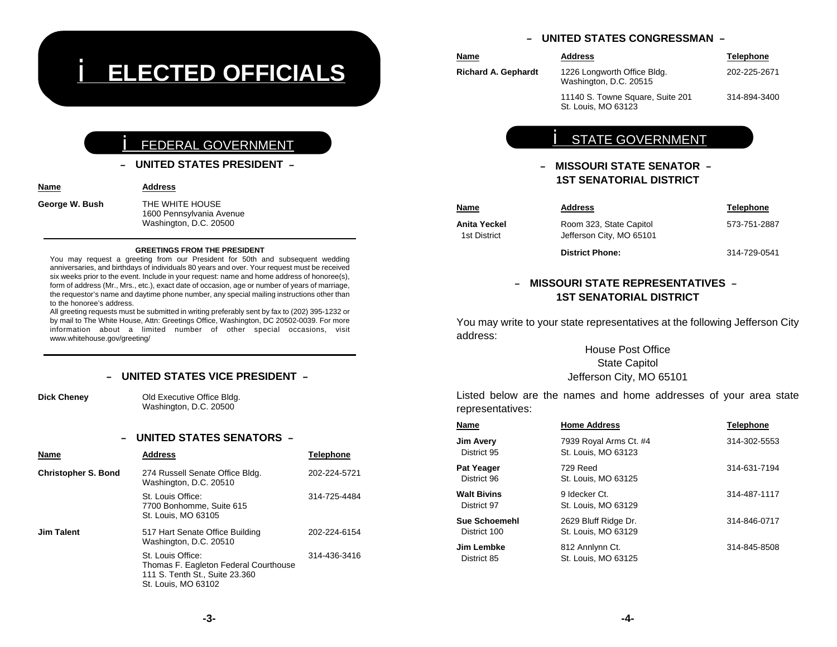# i **ELECTED OFFICIALS**

#### iFEDERAL GOVERNMENT

#### – **UNITED STATES PRESIDENT** –

**Name**

**George W. Bush** THE WHITE HOUSE 1600 Pennsylvania Avenue Washington, D.C. 20500

**Address**

#### **GREETINGS FROM THE PRESIDENT**

 You may request a greeting from our President for 50th and subsequent wedding anniversaries, and birthdays of individuals 80 years and over. Your request must be received six weeks prior to the event. Include in your request: name and home address of honoree(s), form of address (Mr., Mrs., etc.), exact date of occasion, age or number of years of marriage, the requestor's name and daytime phone number, any special mailing instructions other than to the honoree's address.

 All greeting requests must be submitted in writing preferably sent by fax to (202) 395-1232 or by mail to The White House, Attn: Greetings Office, Washington, DC 20502-0039. For more information about a limited number of other special occasions, visit www.whitehouse.gov/greeting/

#### – **UNITED STATES VICE PRESIDENT** –

**Dick Cheney Old Executive Office Bldg.** Washington, D.C. 20500

#### – **UNITED STATES SENATORS** –

| Name                       | <b>Address</b>                                                                                                      | <b>Telephone</b> |
|----------------------------|---------------------------------------------------------------------------------------------------------------------|------------------|
| <b>Christopher S. Bond</b> | 274 Russell Senate Office Bldg.<br>Washington, D.C. 20510                                                           | 202-224-5721     |
|                            | St. Louis Office:<br>7700 Bonhomme, Suite 615<br>St. Louis, MO 63105                                                | 314-725-4484     |
| <b>Jim Talent</b>          | 517 Hart Senate Office Building<br>Washington, D.C. 20510                                                           | 202-224-6154     |
|                            | St. Louis Office:<br>Thomas F. Eagleton Federal Courthouse<br>111 S. Tenth St., Suite 23.360<br>St. Louis, MO 63102 | 314-436-3416     |

#### – **UNITED STATES CONGRESSMAN** –

| Name                       | <b>Address</b>                                          | <b>Telephone</b> |
|----------------------------|---------------------------------------------------------|------------------|
| <b>Richard A. Gephardt</b> | 1226 Longworth Office Bldg.<br>Washington, D.C. 20515   | 202-225-2671     |
|                            | 11140 S. Towne Square, Suite 201<br>St. Louis. MO 63123 | 314-894-3400     |

# **STATE GOVERNMENT**

## – **MISSOURI STATE SENATOR** –**1ST SENATORIAL DISTRICT**

| Name                         | <b>Address</b>                                      | <b>Telephone</b> |
|------------------------------|-----------------------------------------------------|------------------|
| Anita Yeckel<br>1st District | Room 323, State Capitol<br>Jefferson City, MO 65101 | 573-751-2887     |
|                              | <b>District Phone:</b>                              | 314-729-0541     |

### – **MISSOURI STATE REPRESENTATIVES** –**1ST SENATORIAL DISTRICT**

You may write to your state representatives at the following Jefferson City address:

## House Post OfficeState Capitol Jefferson City, MO 65101

Listed below are the names and home addresses of your area state representatives:

| Name                                 | <b>Home Address</b>                           | <b>Telephone</b> |
|--------------------------------------|-----------------------------------------------|------------------|
| <b>Jim Avery</b><br>District 95      | 7939 Royal Arms Ct. #4<br>St. Louis, MO 63123 | 314-302-5553     |
| <b>Pat Yeager</b><br>District 96     | 729 Reed<br>St. Louis, MO 63125               | 314-631-7194     |
| <b>Walt Bivins</b><br>District 97    | 9 Idecker Ct.<br>St. Louis, MO 63129          | 314-487-1117     |
| <b>Sue Schoemehl</b><br>District 100 | 2629 Bluff Ridge Dr.<br>St. Louis, MO 63129   | 314-846-0717     |
| Jim Lembke<br>District 85            | 812 Annlynn Ct.<br>St. Louis, MO 63125        | 314-845-8508     |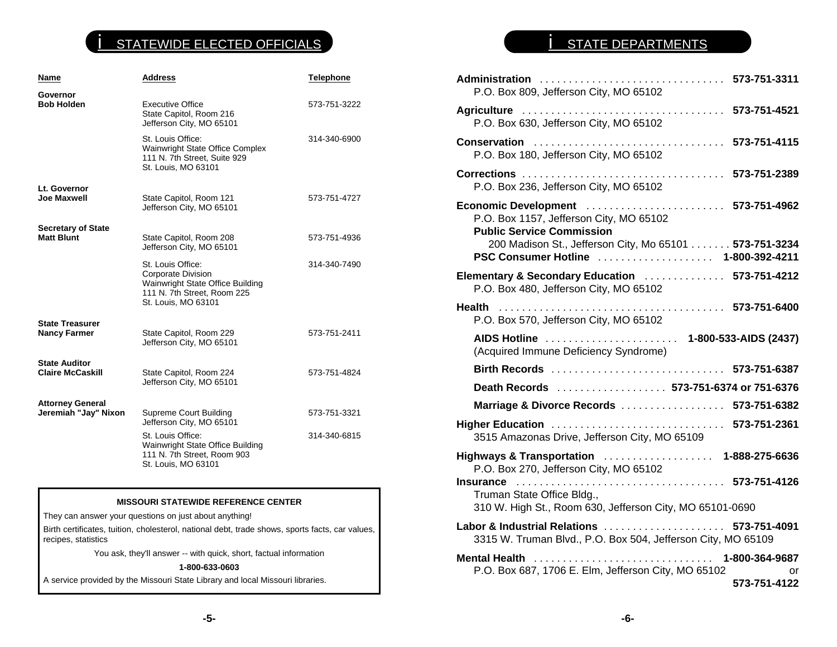## **STATEWIDE ELECTED OFFICIALS**

| <b>Address</b>                                                                                                                             | <b>Telephone</b>             |
|--------------------------------------------------------------------------------------------------------------------------------------------|------------------------------|
| <b>Executive Office</b><br>State Capitol, Room 216<br>Jefferson City, MO 65101                                                             | 573-751-3222                 |
| St. Louis Office:<br>Wainwright State Office Complex<br>111 N. 7th Street, Suite 929<br>St. Louis, MO 63101                                | 314-340-6900                 |
| State Capitol, Room 121<br>Jefferson City, MO 65101                                                                                        | 573-751-4727                 |
| State Capitol, Room 208<br>Jefferson City, MO 65101                                                                                        | 573-751-4936                 |
| St. Louis Office:<br><b>Corporate Division</b><br>Wainwright State Office Building<br>111 N. 7th Street, Room 225<br>St. Louis, MO 63101   | 314-340-7490                 |
| State Capitol, Room 229<br>Jefferson City, MO 65101                                                                                        | 573-751-2411                 |
| State Capitol, Room 224<br>Jefferson City, MO 65101                                                                                        | 573-751-4824                 |
| Supreme Court Building<br>Jefferson City, MO 65101<br>St. Louis Office:<br>Wainwright State Office Building<br>111 N. 7th Street, Room 903 | 573-751-3321<br>314-340-6815 |
|                                                                                                                                            | St. Louis, MO 63101          |

#### **MISSOURI STATEWIDE REFERENCE CENTER**

They can answer your questions on just about anything!

Birth certificates, tuition, cholesterol, national debt, trade shows, sports facts, car values, recipes, statistics

You ask, they'll answer -- with quick, short, factual information

#### **1-800-633-0603**

A service provided by the Missouri State Library and local Missouri libraries.

# **STATE DEPARTMENTS**

| Administration  573-751-3311<br>P.O. Box 809, Jefferson City, MO 65102                                                                                                                                              |                                      |
|---------------------------------------------------------------------------------------------------------------------------------------------------------------------------------------------------------------------|--------------------------------------|
| Agriculture  573-751-4521<br>P.O. Box 630, Jefferson City, MO 65102                                                                                                                                                 |                                      |
| Conservation  573-751-4115<br>P.O. Box 180, Jefferson City, MO 65102                                                                                                                                                |                                      |
| P.O. Box 236, Jefferson City, MO 65102                                                                                                                                                                              |                                      |
| Economic Development  573-751-4962<br>P.O. Box 1157, Jefferson City, MO 65102<br><b>Public Service Commission</b><br>200 Madison St., Jefferson City, Mo 65101 573-751-3234<br>PSC Consumer Hotline  1-800-392-4211 |                                      |
|                                                                                                                                                                                                                     |                                      |
| Elementary & Secondary Education  573-751-4212<br>P.O. Box 480, Jefferson City, MO 65102                                                                                                                            |                                      |
| <b>Health</b><br>P.O. Box 570, Jefferson City, MO 65102                                                                                                                                                             |                                      |
| (Acquired Immune Deficiency Syndrome)                                                                                                                                                                               |                                      |
| Birth Records  573-751-6387                                                                                                                                                                                         |                                      |
| Death Records  573-751-6374 or 751-6376                                                                                                                                                                             |                                      |
| Marriage & Divorce Records  573-751-6382                                                                                                                                                                            |                                      |
| 3515 Amazonas Drive, Jefferson City, MO 65109                                                                                                                                                                       |                                      |
| Highways & Transportation  1-888-275-6636<br>P.O. Box 270, Jefferson City, MO 65102                                                                                                                                 |                                      |
| Truman State Office Bldg.,<br>310 W. High St., Room 630, Jefferson City, MO 65101-0690                                                                                                                              |                                      |
| Labor & Industrial Relations  573-751-4091<br>3315 W. Truman Blvd., P.O. Box 504, Jefferson City, MO 65109                                                                                                          |                                      |
| Mental Health<br>P.O. Box 687, 1706 E. Elm, Jefferson City, MO 65102                                                                                                                                                | 1-800-364-9687<br>or<br>573-751-4122 |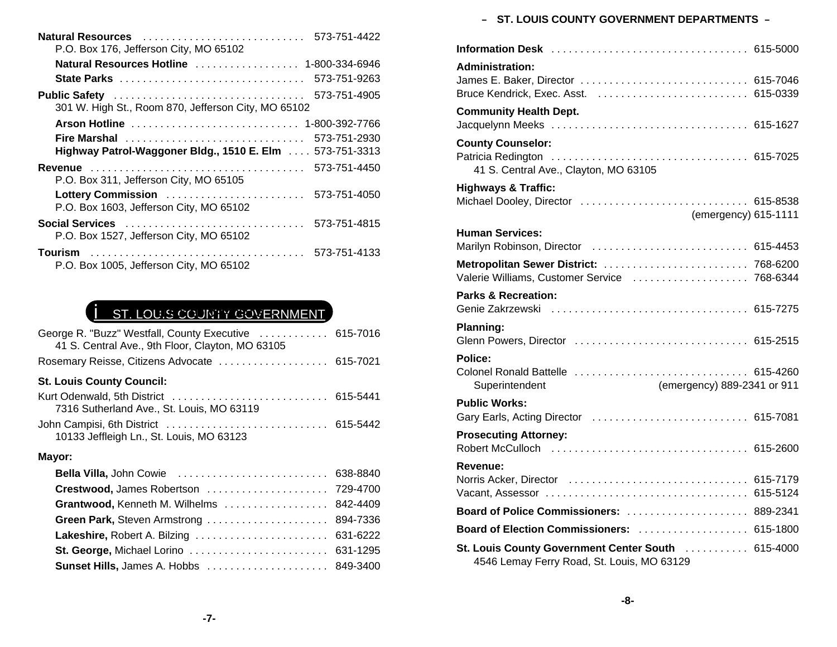| Natural Resources                                             | 573-751-4422   |
|---------------------------------------------------------------|----------------|
| P.O. Box 176, Jefferson City, MO 65102                        |                |
| Natural Resources Hotline Alberts Alberts Alberts             | 1-800-334-6946 |
|                                                               | 573-751-9263   |
| Public Safety                                                 | 573-751-4905   |
| 301 W. High St., Room 870, Jefferson City, MO 65102           |                |
|                                                               |                |
| Fire Marshal                                                  | 573-751-2930   |
| Highway Patrol-Waggoner Bldg., 1510 E. Elm 573-751-3313       |                |
| P.O. Box 311, Jefferson City, MO 65105                        | 573-751-4450   |
| Lottery Commission<br>P.O. Box 1603, Jefferson City, MO 65102 | 573-751-4050   |
| Social Services<br>P.O. Box 1527, Jefferson City, MO 65102    | 573-751-4815   |
| <b>Tourism</b><br>P.O. Box 1005, Jefferson City, MO 65102     | 573-751-4133   |

## **i** St. LOUIS COUNTY GOVERNMENT

| George R. "Buzz" Westfall, County Executive  615-7016<br>41 S. Central Ave., 9th Floor, Clayton, MO 63105 |          |
|-----------------------------------------------------------------------------------------------------------|----------|
| Rosemary Reisse, Citizens Advocate  615-7021                                                              |          |
| <b>St. Louis County Council:</b>                                                                          |          |
| 7316 Sutherland Ave., St. Louis, MO 63119                                                                 |          |
| 10133 Jeffleigh Ln., St. Louis, MO 63123                                                                  |          |
| Mayor:                                                                                                    |          |
| Bella Villa, John Cowie                                                                                   | 638-8840 |
| <b>Crestwood, James Robertson</b> 729-4700                                                                |          |
| Grantwood, Kenneth M. Wilhelms                                                                            | 842-4409 |
| Green Park, Steven Armstrong                                                                              | 894-7336 |
| Lakeshire, Robert A. Bilzing  631-6222                                                                    |          |

# – **ST. LOUIS COUNTY GOVERNMENT DEPARTMENTS**  –**Information Desk** .................................. 615-5000

| <b>Administration:</b><br>James E. Baker, Director<br>Bruce Kendrick, Exec. Asst.                | 615-7046<br>615-0339 |
|--------------------------------------------------------------------------------------------------|----------------------|
| <b>Community Health Dept.</b>                                                                    |                      |
| <b>County Counselor:</b><br>Patricia Redington<br>41 S. Central Ave., Clayton, MO 63105          |                      |
| <b>Highways &amp; Traffic:</b><br>Michael Dooley, Director  615-8538<br>(emergency) 615-1111     |                      |
| <b>Human Services:</b><br>Marilyn Robinson, Director  615-4453                                   |                      |
| Metropolitan Sewer District:  768-6200<br>Valerie Williams, Customer Service  768-6344           |                      |
| <b>Parks &amp; Recreation:</b>                                                                   |                      |
| Planning:<br>Glenn Powers, Director  615-2515                                                    |                      |
| Police:<br>Superintendent<br>(emergency) 889-2341 or 911                                         |                      |
| <b>Public Works:</b><br>Gary Earls, Acting Director  615-7081                                    |                      |
| <b>Prosecuting Attorney:</b>                                                                     |                      |
| Revenue:                                                                                         |                      |
| Board of Police Commissioners:  889-2341                                                         |                      |
| Board of Election Commissioners:  615-1800                                                       |                      |
| St. Louis County Government Center South  615-4000<br>4546 Lemay Ferry Road, St. Louis, MO 63129 |                      |

**St. George,** Michael Lorino ........................ 631-1295 **Sunset Hills,** James A. Hobbs ..................... 849-3400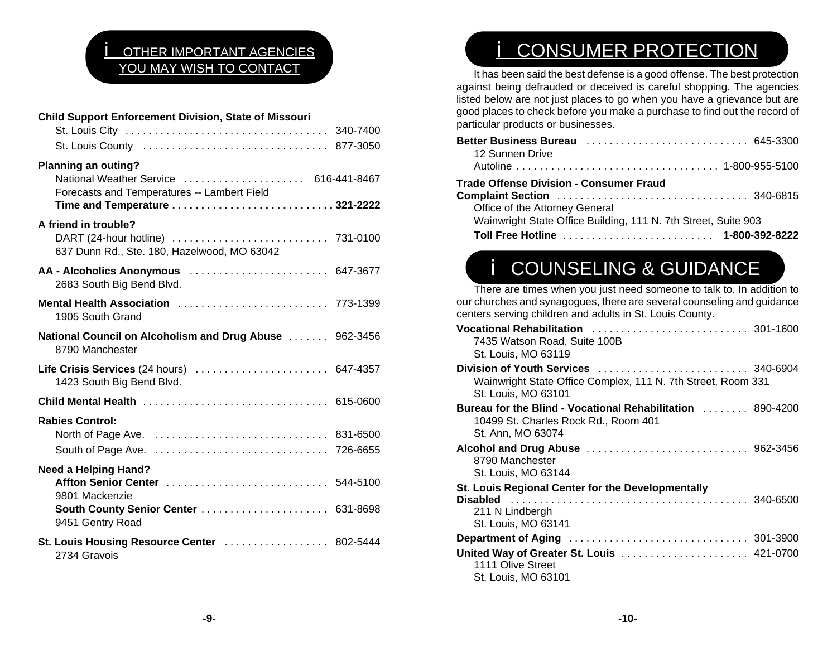# **OTHER IMPORTANT AGENCIES** YOU MAY WISH TO CONTACT

| <b>Child Support Enforcement Division, State of Missouri</b>                                                                                  |  |
|-----------------------------------------------------------------------------------------------------------------------------------------------|--|
|                                                                                                                                               |  |
|                                                                                                                                               |  |
| Planning an outing?<br>National Weather Service  616-441-8467<br>Forecasts and Temperatures -- Lambert Field<br>Time and Temperature 321-2222 |  |
| A friend in trouble?<br>637 Dunn Rd., Ste. 180, Hazelwood, MO 63042                                                                           |  |
| AA - Alcoholics Anonymous  647-3677<br>2683 South Big Bend Blvd.                                                                              |  |
| Mental Health Association  773-1399<br>1905 South Grand                                                                                       |  |
| National Council on Alcoholism and Drug Abuse  962-3456<br>8790 Manchester                                                                    |  |
| Life Crisis Services (24 hours)  647-4357<br>1423 South Big Bend Blvd.                                                                        |  |
| Child Mental Health  615-0600                                                                                                                 |  |
| <b>Rabies Control:</b>                                                                                                                        |  |
| <b>Need a Helping Hand?</b>                                                                                                                   |  |
| 9801 Mackenzie                                                                                                                                |  |
| South County Senior Center  631-8698<br>9451 Gentry Road                                                                                      |  |
| St. Louis Housing Resource Center  802-5444<br>2734 Gravois                                                                                   |  |

# **i** CONSUMER PROTECTION

It has been said the best defense is a good offense. The best protection against being defrauded or deceived is careful shopping. The agencies listed below are not just places to go when you have a grievance but are good places to check before you make a purchase to find out the record of particular products or businesses.

| <b>Better Business Bureau</b> 645-3300<br>12 Sunnen Drive      |
|----------------------------------------------------------------|
|                                                                |
| <b>Trade Offense Division - Consumer Fraud</b>                 |
|                                                                |
| Office of the Attorney General                                 |
| Wainwright State Office Building, 111 N. 7th Street, Suite 903 |
|                                                                |

# **i** COUNSELING & GUIDANCE

There are times when you just need someone to talk to. In addition to our churches and synagogues, there are several counseling and guidance centers serving children and adults in St. Louis County.

| 7435 Watson Road, Suite 100B<br>St. Louis, MO 63119                                                            |  |
|----------------------------------------------------------------------------------------------------------------|--|
| Wainwright State Office Complex, 111 N. 7th Street, Room 331<br>St. Louis, MO 63101                            |  |
| 10499 St. Charles Rock Rd., Room 401<br>St. Ann, MO 63074                                                      |  |
| 8790 Manchester<br>St. Louis, MO 63144                                                                         |  |
| St. Louis Regional Center for the Developmentally<br><b>Disabled</b><br>211 N Lindbergh<br>St. Louis, MO 63141 |  |
| 1111 Olive Street<br>St. Louis, MO 63101                                                                       |  |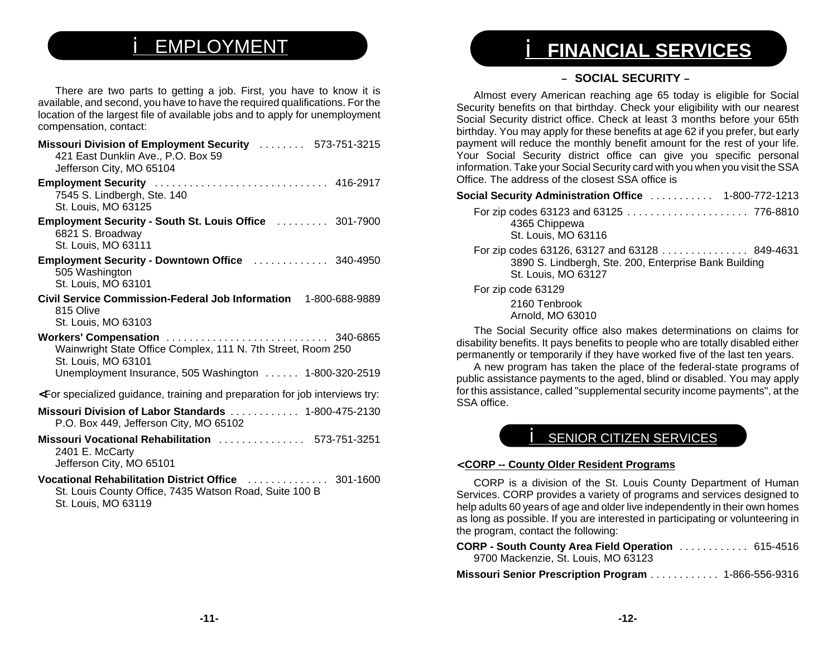# i EMPLOYMENT

There are two parts to getting a job. First, you have to know it is available, and second, you have to have the required qualifications. For the location of the largest file of available jobs and to apply for unemployment compensation, contact:

| Missouri Division of Employment Security  573-751-3215<br>421 East Dunklin Ave., P.O. Box 59<br>Jefferson City, MO 65104 |
|--------------------------------------------------------------------------------------------------------------------------|
| Employment Security  416-2917<br>7545 S. Lindbergh, Ste. 140<br>St. Louis, MO 63125                                      |
| Employment Security - South St. Louis Office  301-7900<br>6821 S. Broadway<br>St. Louis, MO 63111                        |
| Employment Security - Downtown Office  340-4950<br>505 Washington<br>St. Louis, MO 63101                                 |
| Civil Service Commission-Federal Job Information 1-800-688-9889<br>815 Olive<br>St. Louis, MO 63103                      |
| Wainwright State Office Complex, 111 N. 7th Street, Room 250<br>St. Louis, MO 63101                                      |
| Unemployment Insurance, 505 Washington  1-800-320-2519                                                                   |
| <for and="" for="" guidance,="" interviews="" job="" preparation="" specialized="" td="" training="" try:<=""></for>     |
| Missouri Division of Labor Standards  1-800-475-2130<br>P.O. Box 449, Jefferson City, MO 65102                           |
| Missouri Vocational Rehabilitation  573-751-3251<br>2401 E. McCarty<br>Jefferson City, MO 65101                          |
| Vocational Rehabilitation District Office  301-1600<br>St. Louis County Office, 7435 Watson Road, Suite 100 B            |

St. Louis, MO 63119

# i **FINANCIAL SERVICES**

## – **SOCIAL SECURITY** –

Almost every American reaching age 65 today is eligible for Social Security benefits on that birthday. Check your eligibility with our nearest Social Security district office. Check at least 3 months before your 65th birthday. You may apply for these benefits at age 62 if you prefer, but early payment will reduce the monthly benefit amount for the rest of your life. Your Social Security district office can give you specific personal information. Take your Social Security card with you when you visit the SSA Office. The address of the closest SSA office is

| Social Security Administration Office $\,\ldots\ldots\ldots\,$ 1-800-772-1213                                                 |  |
|-------------------------------------------------------------------------------------------------------------------------------|--|
| 4365 Chippewa<br>St. Louis, MO 63116                                                                                          |  |
| For zip codes 63126, 63127 and 63128 849-4631<br>3890 S. Lindbergh, Ste. 200, Enterprise Bank Building<br>St. Louis, MO 63127 |  |
| For zip code 63129                                                                                                            |  |
| 2160 Tenbrook<br>Arnold, MO 63010                                                                                             |  |

The Social Security office also makes determinations on claims for disability benefits. It pays benefits to people who are totally disabled either permanently or temporarily if they have worked five of the last ten years.

A new program has taken the place of the federal-state programs of public assistance payments to the aged, blind or disabled. You may apply for this assistance, called "supplemental security income payments", at the SSA office.

## **SENIOR CITIZEN SERVICES**

### <sup>&</sup>lt; **CORP -- County Older Resident Programs**

CORP is a division of the St. Louis County Department of Human Services. CORP provides a variety of programs and services designed to help adults 60 years of age and older live independently in their own homes as long as possible. If you are interested in participating or volunteering in the program, contact the following:

| CORP - South County Area Field Operation  615-4516   |  |
|------------------------------------------------------|--|
| 9700 Mackenzie, St. Louis, MO 63123                  |  |
| Missouri Senior Prescription Program  1-866-556-9316 |  |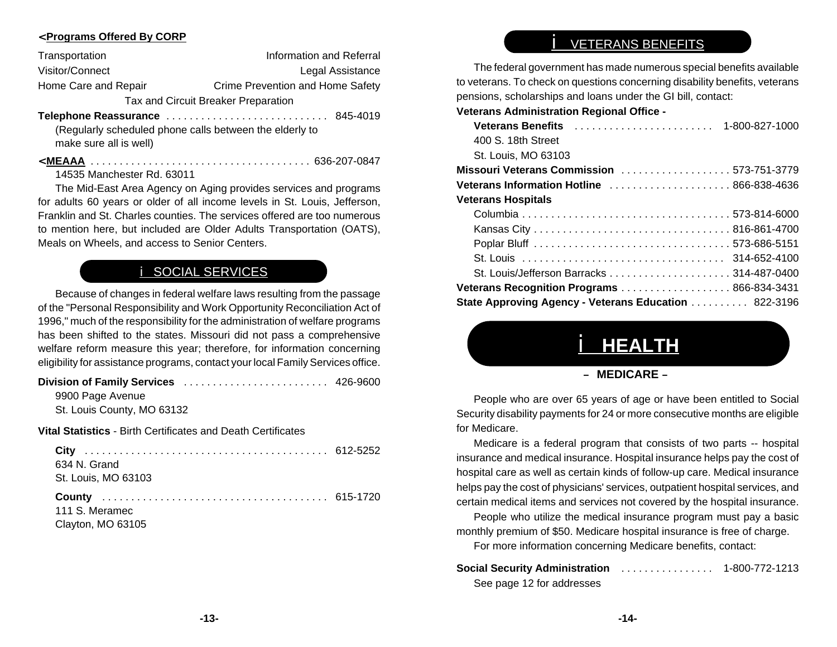## <sup>&</sup>lt; **Programs Offered By CORP**

| Transportation                      | Information and Referral         |  |
|-------------------------------------|----------------------------------|--|
| Visitor/Connect                     | Legal Assistance                 |  |
| Home Care and Repair                | Crime Prevention and Home Safety |  |
| Tax and Circuit Breaker Preparation |                                  |  |
|                                     |                                  |  |

**Telephone Reassurance** ............................ 845-4019 (Regularly scheduled phone calls between the elderly to

make sure all is well)

< **MEAAA** ...................................... 636-207-0847

14535 Manchester Rd. 63011

The Mid-East Area Agency on Aging provides services and programs for adults 60 years or older of all income levels in St. Louis, Jefferson, Franklin and St. Charles counties. The services offered are too numerous to mention here, but included are Older Adults Transportation (OATS), Meals on Wheels, and access to Senior Centers.

## **i** SOCIAL SERVICES

Because of changes in federal welfare laws resulting from the passage of the "Personal Responsibility and Work Opportunity Reconciliation Act of 1996," much of the responsibility for the administration of welfare programs has been shifted to the states. Missouri did not pass a comprehensive welfare reform measure this year; therefore, for information concerning eligibility for assistance programs, contact your local Family Services office.

## **Division of Family Services** ......................... 426-9600

9900 Page Avenue St. Louis County, MO 63132

**Vital Statistics** - Birth Certificates and Death Certificates

| 634 N. Grand        |  |
|---------------------|--|
| St. Louis, MO 63103 |  |
|                     |  |
|                     |  |
| 111 S. Meramec      |  |

# i VETERANS BENEFITS

The federal government has made numerous special benefits available to veterans. To check on questions concerning disability benefits, veterans pensions, scholarships and loans under the GI bill, contact:

**Veterans Administration Regional Office -**

| 400 S. 18th Street                                   |  |
|------------------------------------------------------|--|
| St. Louis, MO 63103                                  |  |
| Missouri Veterans Commission 573-751-3779            |  |
| Veterans Information Hotline  866-838-4636           |  |
| Veterans Hospitals                                   |  |
|                                                      |  |
|                                                      |  |
|                                                      |  |
|                                                      |  |
|                                                      |  |
| Veterans Recognition Programs 866-834-3431           |  |
| State Approving Agency - Veterans Education 822-3196 |  |
|                                                      |  |

# i **HEALTH**

### – **MEDICARE** –

People who are over 65 years of age or have been entitled to Social Security disability payments for 24 or more consecutive months are eligible for Medicare.

Medicare is a federal program that consists of two parts -- hospital insurance and medical insurance. Hospital insurance helps pay the cost of hospital care as well as certain kinds of follow-up care. Medical insurance helps pay the cost of physicians' services, outpatient hospital services, and certain medical items and services not covered by the hospital insurance.

People who utilize the medical insurance program must pay a basic monthly premium of \$50. Medicare hospital insurance is free of charge.

For more information concerning Medicare benefits, contact:

| <b>Social Security Administration Access 2018</b> | 1-800-772-1213 |
|---------------------------------------------------|----------------|
| See page 12 for addresses                         |                |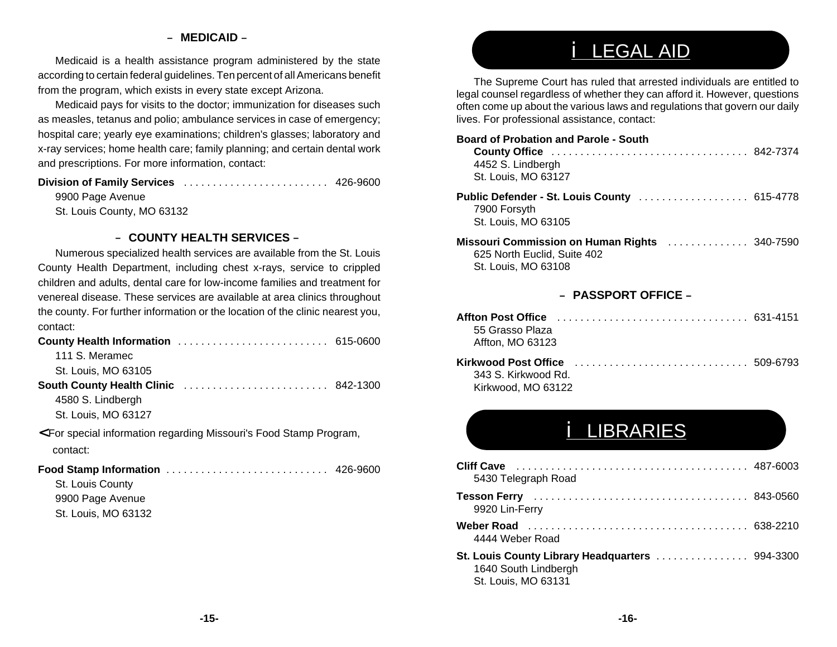## – **MEDICAID** –

Medicaid is a health assistance program administered by the state according to certain federal guidelines. Ten percent of all Americans benefit from the program, which exists in every state except Arizona.

Medicaid pays for visits to the doctor; immunization for diseases such as measles, tetanus and polio; ambulance services in case of emergency; hospital care; yearly eye examinations; children's glasses; laboratory and x-ray services; home health care; family planning; and certain dental work and prescriptions. For more information, contact:

## **Division of Family Services** ......................... 426-9600

9900 Page Avenue

St. Louis County, MO 63132

### – **COUNTY HEALTH SERVICES** –

Numerous specialized health services are available from the St. Louis County Health Department, including chest x-rays, service to crippled children and adults, dental care for low-income families and treatment for venereal disease. These services are available at area clinics throughout the county. For further information or the location of the clinic nearest you, contact:

| <b>County Health Information</b>                                                                         | 615-0600 |
|----------------------------------------------------------------------------------------------------------|----------|
| 111 S. Meramec                                                                                           |          |
| St. Louis, MO 63105                                                                                      |          |
| <b>South County Health Clinic </b>                                                                       | 842-1300 |
| 4580 S. Lindbergh                                                                                        |          |
| St. Louis, MO 63127                                                                                      |          |
| <for food="" information="" missouri's="" program,<br="" regarding="" special="" stamp="">contact:</for> |          |
| Food Stamp Information                                                                                   | 426-9600 |
| St. Louis County                                                                                         |          |
| 9900 Page Avenue                                                                                         |          |
| St. Louis, MO 63132                                                                                      |          |

# i LEGAL AID

The Supreme Court has ruled that arrested individuals are entitled to legal counsel regardless of whether they can afford it. However, questions often come up about the various laws and regulations that govern our daily lives. For professional assistance, contact:

## **Board of Probation and Parole - SouthCounty Office** .................................. 842-7374 4452 S. Lindbergh St. Louis, MO 63127 **Public Defender - St. Louis County** ................... 615-4778 7900 Forsyth St. Louis, MO 63105 **Missouri Commission on Human Rights** .............. 340-7590

625 North Euclid, Suite 402 St. Louis, MO 63108

### – **PASSPORT OFFICE** –

| 55 Grasso Plaza     |  |
|---------------------|--|
| Affton, MO 63123    |  |
| 343 S. Kirkwood Rd. |  |

Kirkwood, MO 63122

# i LIBRARIES

| <b>Cliff Cave</b><br>5430 Telegraph Road                                                       |  |
|------------------------------------------------------------------------------------------------|--|
| 9920 Lin-Ferry                                                                                 |  |
| 4444 Weber Road                                                                                |  |
| St. Louis County Library Headquarters  994-3300<br>1640 South Lindbergh<br>St. Louis, MO 63131 |  |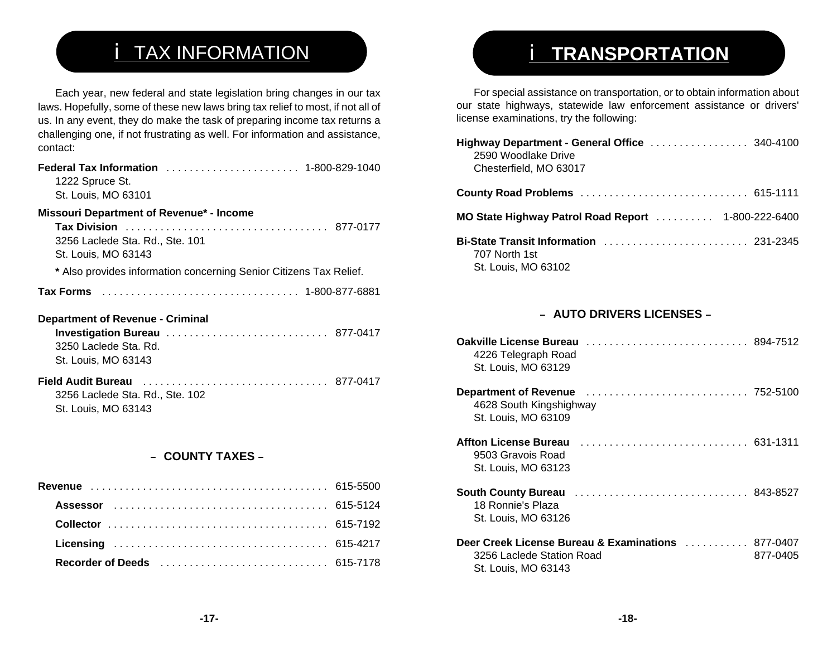# **i** TAX INFORMATION

Each year, new federal and state legislation bring changes in our tax laws. Hopefully, some of these new laws bring tax relief to most, if not all of us. In any event, they do make the task of preparing income tax returns a challenging one, if not frustrating as well. For information and assistance, contact:

| 1222 Spruce St.<br>St. Louis, MO 63101                                                                                    |  |
|---------------------------------------------------------------------------------------------------------------------------|--|
| Missouri Department of Revenue* - Income<br>3256 Laclede Sta. Rd., Ste. 101<br>St. Louis, MO 63143                        |  |
| * Also provides information concerning Senior Citizens Tax Relief.                                                        |  |
|                                                                                                                           |  |
| <b>Department of Revenue - Criminal</b><br>Investigation Bureau  877-0417<br>3250 Laclede Sta, Rd.<br>St. Louis, MO 63143 |  |
| 3256 Laclede Sta. Rd., Ste. 102<br>St. Louis, MO 63143                                                                    |  |

## – **COUNTY TAXES** –

# i **TRANSPORTATION**

For special assistance on transportation, or to obtain information about our state highways, statewide law enforcement assistance or drivers' license examinations, try the following:

| Highway Department - General Office  340-4100<br>2590 Woodlake Drive<br>Chesterfield, MO 63017 |  |
|------------------------------------------------------------------------------------------------|--|
| County Road Problems  615-1111                                                                 |  |
|                                                                                                |  |
| Bi-State Transit Information  231-2345<br>707 North 1st<br>St. Louis, MO 63102                 |  |

## – **AUTO DRIVERS LICENSES** –

| Oakville License Bureau<br>4226 Telegraph Road<br>St. Louis, MO 63129                        |                      |
|----------------------------------------------------------------------------------------------|----------------------|
| <b>Department of Revenue</b><br>4628 South Kingshighway<br>St. Louis, MO 63109               |                      |
| <b>Affton License Bureau</b><br>9503 Gravois Road<br>St. Louis, MO 63123                     |                      |
| <b>South County Bureau</b><br>18 Ronnie's Plaza<br>St. Louis, MO 63126                       |                      |
| Deer Creek License Bureau & Examinations<br>3256 Laclede Station Road<br>St. Louis, MO 63143 | 877-0407<br>877-0405 |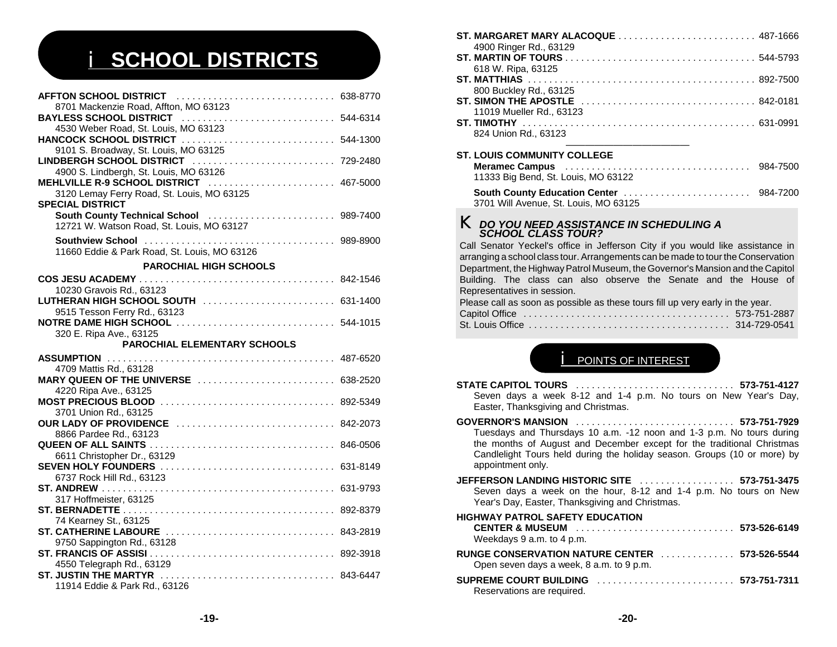# i **SCHOOL DISTRICTS**

| 8701 Mackenzie Road, Affton, MO 63123                                                                   |  |
|---------------------------------------------------------------------------------------------------------|--|
|                                                                                                         |  |
| 4530 Weber Road, St. Louis, MO 63123                                                                    |  |
|                                                                                                         |  |
| 9101 S. Broadway, St. Louis, MO 63125<br>LINDBERGH SCHOOL DISTRICT  729-2480                            |  |
| 4900 S. Lindbergh, St. Louis, MO 63126                                                                  |  |
|                                                                                                         |  |
| 3120 Lemay Ferry Road, St. Louis, MO 63125                                                              |  |
| <b>SPECIAL DISTRICT</b>                                                                                 |  |
| South County Technical School [19] [2010] [2010] South County Technical School [19] Marchants 1989-7400 |  |
| 12721 W. Watson Road, St. Louis, MO 63127                                                               |  |
|                                                                                                         |  |
| 11660 Eddie & Park Road, St. Louis, MO 63126                                                            |  |
|                                                                                                         |  |
| <b>PAROCHIAL HIGH SCHOOLS</b>                                                                           |  |
|                                                                                                         |  |
| 10230 Gravois Rd., 63123                                                                                |  |
| LUTHERAN HIGH SCHOOL SOUTH  631-1400                                                                    |  |
| 9515 Tesson Ferry Rd., 63123                                                                            |  |
|                                                                                                         |  |
| 320 E. Ripa Ave., 63125<br>PAROCHIAL ELEMENTARY SCHOOLS                                                 |  |
|                                                                                                         |  |
|                                                                                                         |  |
| 4709 Mattis Rd., 63128<br>MARY QUEEN OF THE UNIVERSE  638-2520                                          |  |
| 4220 Ripa Ave., 63125                                                                                   |  |
|                                                                                                         |  |
| 3701 Union Rd., 63125                                                                                   |  |
| <b>OUR LADY OF PROVIDENCE</b> 842-2073                                                                  |  |
| 8866 Pardee Rd., 63123                                                                                  |  |
|                                                                                                         |  |
| 6611 Christopher Dr., 63129                                                                             |  |
|                                                                                                         |  |
| 6737 Rock Hill Rd., 63123                                                                               |  |
|                                                                                                         |  |
| 317 Hoffmeister, 63125                                                                                  |  |
|                                                                                                         |  |
| 74 Kearney St., 63125                                                                                   |  |
| <b>ST. CATHERINE LABOURE</b> 843-2819                                                                   |  |
| 9750 Sappington Rd., 63128                                                                              |  |
| 4550 Telegraph Rd., 63129                                                                               |  |
|                                                                                                         |  |
| 11914 Eddie & Park Rd., 63126                                                                           |  |
|                                                                                                         |  |

| 4900 Ringer Rd., 63129                                                                                    |  |
|-----------------------------------------------------------------------------------------------------------|--|
|                                                                                                           |  |
| 618 W. Ripa, 63125                                                                                        |  |
|                                                                                                           |  |
| 800 Buckley Rd., 63125                                                                                    |  |
|                                                                                                           |  |
| 11019 Mueller Rd., 63123                                                                                  |  |
|                                                                                                           |  |
| 824 Union Rd., 63123                                                                                      |  |
|                                                                                                           |  |
| <b>ST. LOUIS COMMUNITY COLLEGE</b>                                                                        |  |
| Meramec Campus (and all and all and all and all and all and all and all and all and all and all and 47500 |  |
| 11333 Big Bend, St. Louis, MO 63122                                                                       |  |
|                                                                                                           |  |
| 3701 Will Avenue, St. Louis, MO 63125                                                                     |  |
|                                                                                                           |  |
| <b>K</b> DO YOU NEED ASSISTANCE IN SCHEDULING A                                                           |  |

#### *DO YOU NEED ASSISTANCE IN SCHEDULING A SCHOOL CLASS TOUR?*

 Call Senator Yeckel's office in Jefferson City if you would like assistance in arranging a school class tour. Arrangements can be made to tour the Conservation Department, the Highway Patrol Museum, the Governor's Mansion and the Capitol Building. The class can also observe the Senate and the House of Representatives in session.

| Please call as soon as possible as these tours fill up very early in the year. |  |
|--------------------------------------------------------------------------------|--|
|                                                                                |  |
| St. Louis Office ,,,,,,,,,,,,,,,,,,,,,,,,,,,,,,,, 314-729-0541                 |  |

## **POINTS OF INTEREST**

| <b>STATE CAPITOL TOURS</b> 573-751-4127<br>Seven days a week 8-12 and 1-4 p.m. No tours on New Year's Day,<br>Easter, Thanksgiving and Christmas.                                                                                               |
|-------------------------------------------------------------------------------------------------------------------------------------------------------------------------------------------------------------------------------------------------|
| Tuesdays and Thursdays 10 a.m. -12 noon and 1-3 p.m. No tours during<br>the months of August and December except for the traditional Christmas<br>Candlelight Tours held during the holiday season. Groups (10 or more) by<br>appointment only. |
| JEFFERSON LANDING HISTORIC SITE  573-751-3475<br>Seven days a week on the hour, 8-12 and 1-4 p.m. No tours on New<br>Year's Day, Easter, Thanksgiving and Christmas.                                                                            |
| <b>HIGHWAY PATROL SAFETY EDUCATION</b><br>Weekdays 9 a.m. to 4 p.m.                                                                                                                                                                             |
| RUNGE CONSERVATION NATURE CENTER  573-526-5544<br>Open seven days a week, 8 a.m. to 9 p.m.                                                                                                                                                      |
| Reservations are required.                                                                                                                                                                                                                      |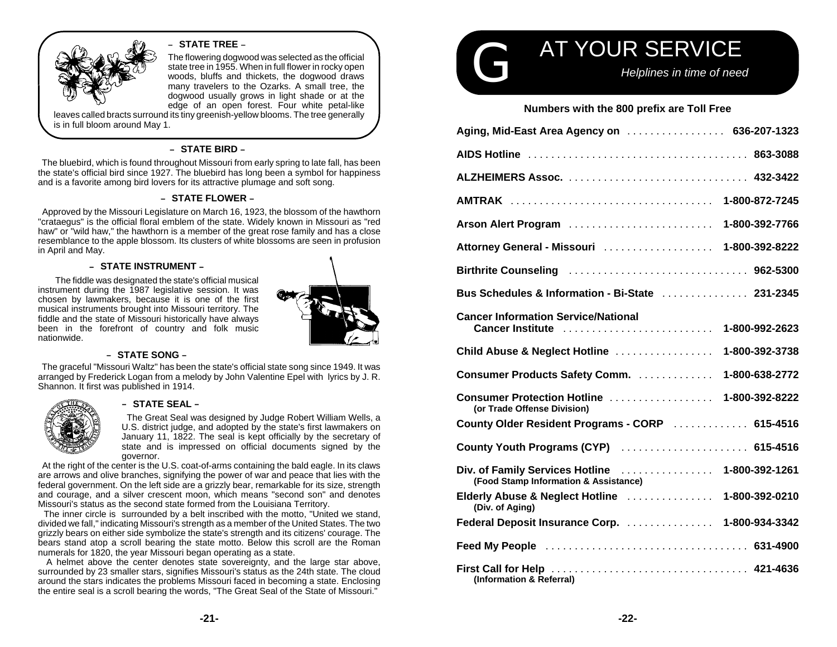

#### – **STATE TREE** –

The flowering dogwood was selected as the official state tree in 1955. When in full flower in rocky open woods, bluffs and thickets, the dogwood draws many travelers to the Ozarks. A small tree, the dogwood usually grows in light shade or at the edge of an open forest. Four white petal-like

leaves called bracts surround its tiny greenish-yellow blooms. The tree generally is in full bloom around May 1.

#### – **STATE BIRD** –

 The bluebird, which is found throughout Missouri from early spring to late fall, has been the state's official bird since 1927. The bluebird has long been a symbol for happiness and is a favorite among bird lovers for its attractive plumage and soft song.

#### – **STATE FLOWER** –

 Approved by the Missouri Legislature on March 16, 1923, the blossom of the hawthorn "crataegus" is the official floral emblem of the state. Widely known in Missouri as "red haw" or "wild haw," the hawthorn is a member of the great rose family and has a close resemblance to the apple blossom. Its clusters of white blossoms are seen in profusion in April and May.

#### – **STATE INSTRUMENT** –

The fiddle was designated the state's official musical instrument during the 1987 legislative session. It was chosen by lawmakers, because it is one of the first musical instruments brought into Missouri territory. The fiddle and the state of Missouri historically have always been in the forefront of country and folk music nationwide.



#### – **STATE SONG** –

 The graceful "Missouri Waltz" has been the state's official state song since 1949. It was arranged by Frederick Logan from a melody by John Valentine Epel with lyrics by J. R. Shannon. It first was published in 1914.



#### – **STATE SEAL** –

 The Great Seal was designed by Judge Robert William Wells, a U.S. district judge, and adopted by the state's first lawmakers on January 11, 1822. The seal is kept officially by the secretary of state and is impressed on official documents signed by the governor.

 At the right of the center is the U.S. coat-of-arms containing the bald eagle. In its claws are arrows and olive branches, signifying the power of war and peace that lies with the federal government. On the left side are a grizzly bear, remarkable for its size, strength and courage, and a silver crescent moon, which means "second son" and denotes Missouri's status as the second state formed from the Louisiana Territory.

 The inner circle is surrounded by a belt inscribed with the motto, "United we stand, divided we fall," indicating Missouri's strength as a member of the United States. The two grizzly bears on either side symbolize the state's strength and its citizens' courage. The bears stand atop a scroll bearing the state motto. Below this scroll are the Roman numerals for 1820, the year Missouri began operating as a state.

 A helmet above the center denotes state sovereignty, and the large star above, surrounded by 23 smaller stars, signifies Missouri's status as the 24th state. The cloud around the stars indicates the problems Missouri faced in becoming a state. Enclosing the entire seal is a scroll bearing the words, "The Great Seal of the State of Missouri."



#### **Numbers with the 800 prefix are Toll Free**

| Aging, Mid-East Area Agency on  636-207-1323                                                                      |
|-------------------------------------------------------------------------------------------------------------------|
|                                                                                                                   |
|                                                                                                                   |
| AMTRAK  1-800-872-7245                                                                                            |
| Arson Alert Program<br>1-800-392-7766                                                                             |
| Attorney General - Missouri  1-800-392-8222                                                                       |
|                                                                                                                   |
| Bus Schedules & Information - Bi-State  231-2345                                                                  |
| <b>Cancer Information Service/National</b><br>Cancer Institute  1-800-992-2623                                    |
| Child Abuse & Neglect Hotline<br>1-800-392-3738                                                                   |
| <b>Consumer Products Safety Comm.</b><br>1-800-638-2772                                                           |
| <b>Consumer Protection Hotline</b><br>1-800-392-8222<br>(or Trade Offense Division)                               |
| County Older Resident Programs - CORP  615-4516                                                                   |
| County Youth Programs (CYP)  615-4516                                                                             |
| Div. of Family Services Hotline  1-800-392-1261<br>(Food Stamp Information & Assistance)                          |
| Elderly Abuse & Neglect Hotline<br>1-800-392-0210<br>(Div. of Aging)                                              |
| Federal Deposit Insurance Corp.  1-800-934-3342                                                                   |
| Feed My People (and all and all and all and all and all and all and all and all and all and all and all and all a |
| (Information & Referral)                                                                                          |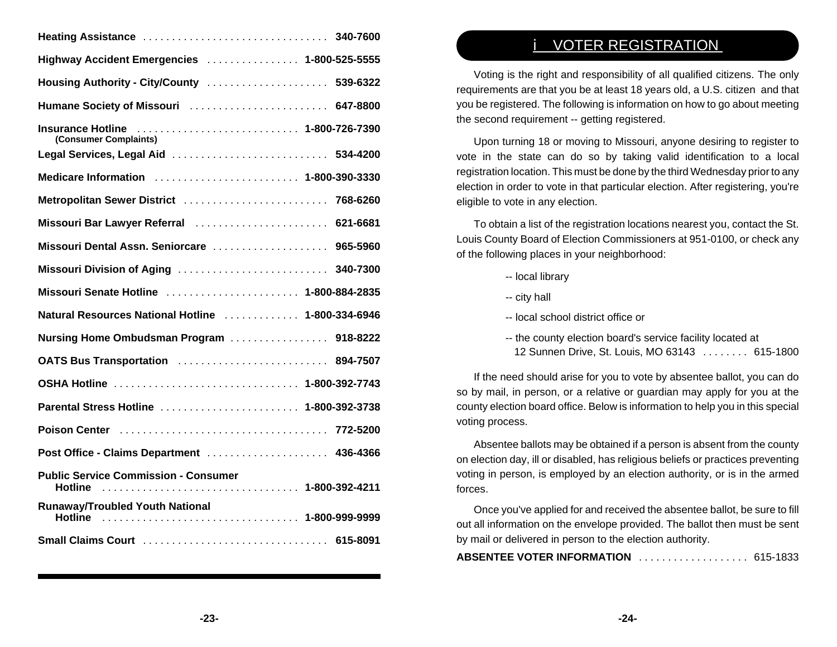| Highway Accident Emergencies  1-800-525-5555                                                   |
|------------------------------------------------------------------------------------------------|
| Housing Authority - City/County  539-6322                                                      |
| Humane Society of Missouri  647-8800                                                           |
| Insurance Hotline  1-800-726-7390<br>(Consumer Complaints)                                     |
| Legal Services, Legal Aid  534-4200                                                            |
| Medicare Information (and all contracts and all contracts and all contracts and 1-800-390-3330 |
| Metropolitan Sewer District  768-6260                                                          |
| Missouri Bar Lawyer Referral  621-6681                                                         |
| Missouri Dental Assn. Seniorcare  965-5960                                                     |
| Missouri Division of Aging  340-7300                                                           |
| Missouri Senate Hotline  1-800-884-2835                                                        |
| Natural Resources National Hotline  1-800-334-6946                                             |
| Nursing Home Ombudsman Program  918-8222                                                       |
| OATS Bus Transportation  894-7507                                                              |
| OSHA Hotline  1-800-392-7743                                                                   |
| Parental Stress Hotline  1-800-392-3738                                                        |
|                                                                                                |
| Post Office - Claims Department  436-4366                                                      |
| <b>Public Service Commission - Consumer</b><br>Hotline  1-800-392-4211                         |
| <b>Runaway/Troubled Youth National</b><br>Hotline  1-800-999-9999                              |
|                                                                                                |

# i VOTER REGISTRATION

Voting is the right and responsibility of all qualified citizens. The only requirements are that you be at least 18 years old, a U.S. citizen and that you be registered. The following is information on how to go about meeting the second requirement -- getting registered.

Upon turning 18 or moving to Missouri, anyone desiring to register to vote in the state can do so by taking valid identification to a local registration location. This must be done by the third Wednesday prior to any election in order to vote in that particular election. After registering, you're eligible to vote in any election.

To obtain a list of the registration locations nearest you, contact the St. Louis County Board of Election Commissioners at 951-0100, or check any of the following places in your neighborhood:

-- local library

- -- city hall
- -- local school district office or
- -- the county election board's service facility located at 12 Sunnen Drive, St. Louis, MO 63143 ........ 615-1800

If the need should arise for you to vote by absentee ballot, you can do so by mail, in person, or a relative or guardian may apply for you at the county election board office. Below is information to help you in this special voting process.

Absentee ballots may be obtained if a person is absent from the county on election day, ill or disabled, has religious beliefs or practices preventing voting in person, is employed by an election authority, or is in the armed forces.

Once you've applied for and received the absentee ballot, be sure to fill out all information on the envelope provided. The ballot then must be sent by mail or delivered in person to the election authority.

| <b>ABSENTEE VOTER INFORMATION</b> 615-1833 |  |
|--------------------------------------------|--|
|--------------------------------------------|--|